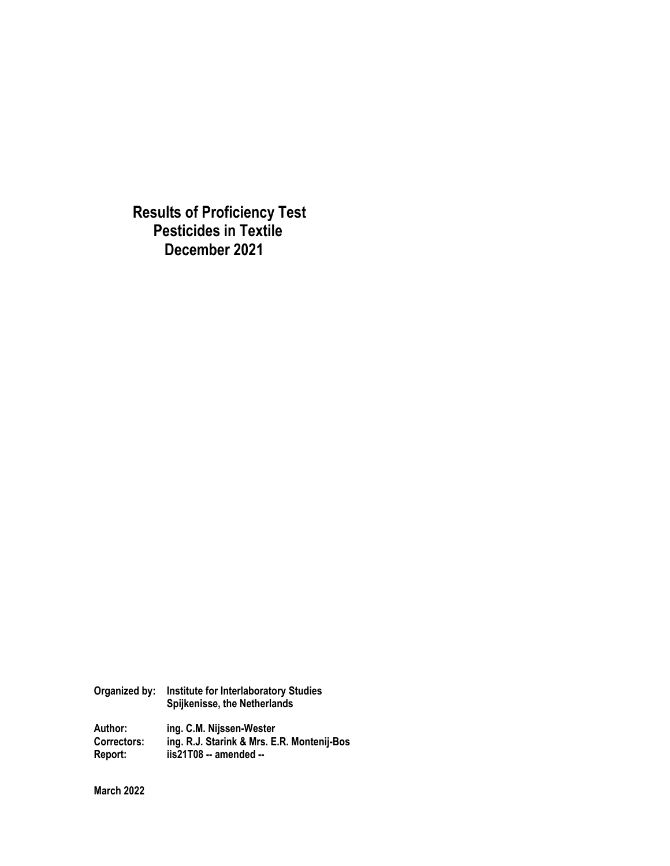**Results of Proficiency Test Pesticides in Textile December 2021**

**Organized by: Institute for Interlaboratory Studies Spijkenisse, the Netherlands Author: ing. C.M. Nijssen-Wester Correctors: ing. R.J. Starink & Mrs. E.R. Montenij-Bos Report: iis21T08 -- amended --** 

**March 2022**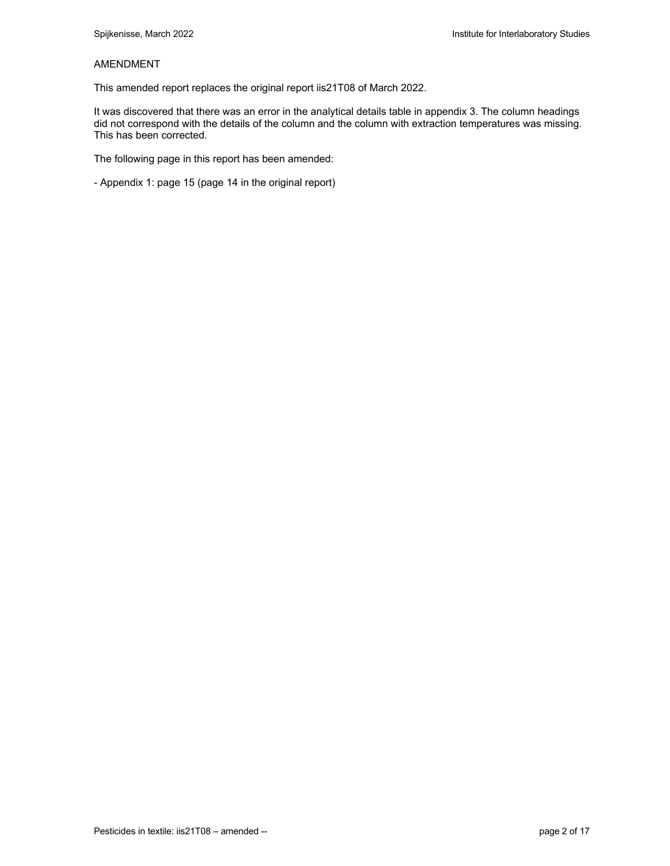#### AMENDMENT

This amended report replaces the original report iis21T08 of March 2022.

It was discovered that there was an error in the analytical details table in appendix 3. The column headings did not correspond with the details of the column and the column with extraction temperatures was missing. This has been corrected.

The following page in this report has been amended:

- Appendix 1: page 15 (page 14 in the original report)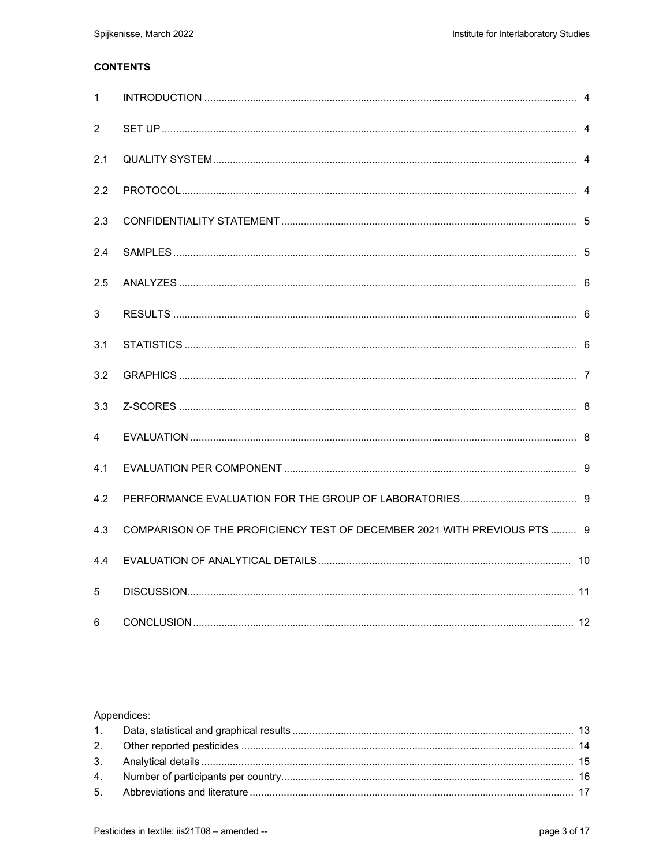# **CONTENTS**

| 1              |                                                                          |  |
|----------------|--------------------------------------------------------------------------|--|
| $\overline{2}$ |                                                                          |  |
| 2.1            |                                                                          |  |
| 2.2            |                                                                          |  |
| 2.3            |                                                                          |  |
| 2.4            |                                                                          |  |
| 2.5            |                                                                          |  |
| 3              |                                                                          |  |
| 3.1            |                                                                          |  |
| 3.2            |                                                                          |  |
| 3.3            |                                                                          |  |
| 4              |                                                                          |  |
| 4.1            |                                                                          |  |
| 4.2            |                                                                          |  |
| 4.3            | COMPARISON OF THE PROFICIENCY TEST OF DECEMBER 2021 WITH PREVIOUS PTS  9 |  |
| 4.4            |                                                                          |  |
| 5              |                                                                          |  |
| 6              |                                                                          |  |

#### Appendices: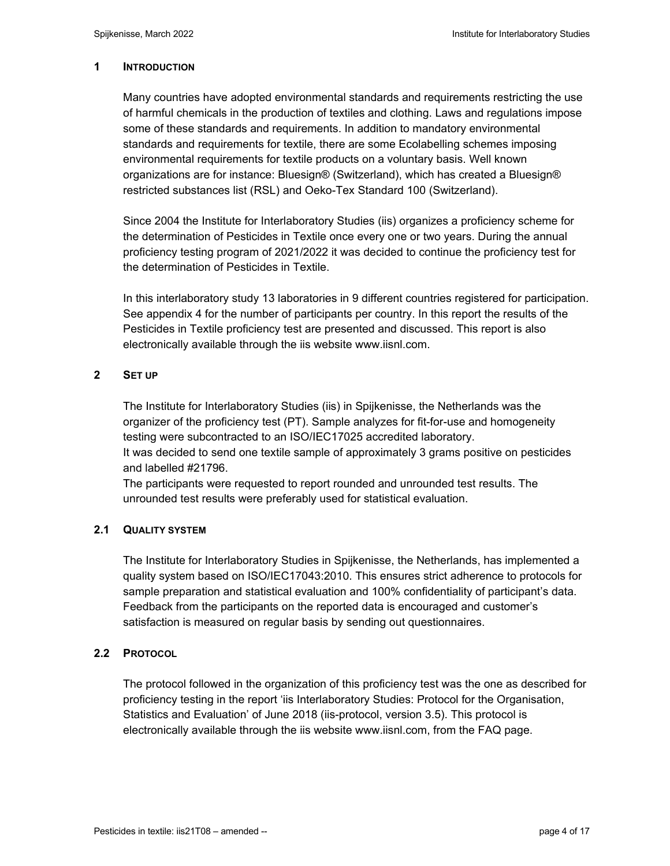#### **1 INTRODUCTION**

Many countries have adopted environmental standards and requirements restricting the use of harmful chemicals in the production of textiles and clothing. Laws and regulations impose some of these standards and requirements. In addition to mandatory environmental standards and requirements for textile, there are some Ecolabelling schemes imposing environmental requirements for textile products on a voluntary basis. Well known organizations are for instance: Bluesign® (Switzerland), which has created a Bluesign® restricted substances list (RSL) and Oeko-Tex Standard 100 (Switzerland).

Since 2004 the Institute for Interlaboratory Studies (iis) organizes a proficiency scheme for the determination of Pesticides in Textile once every one or two years. During the annual proficiency testing program of 2021/2022 it was decided to continue the proficiency test for the determination of Pesticides in Textile.

In this interlaboratory study 13 laboratories in 9 different countries registered for participation. See appendix 4 for the number of participants per country. In this report the results of the Pesticides in Textile proficiency test are presented and discussed. This report is also electronically available through the iis website www.iisnl.com.

#### **2 SET UP**

The Institute for Interlaboratory Studies (iis) in Spijkenisse, the Netherlands was the organizer of the proficiency test (PT). Sample analyzes for fit-for-use and homogeneity testing were subcontracted to an ISO/IEC17025 accredited laboratory. It was decided to send one textile sample of approximately 3 grams positive on pesticides

and labelled #21796. The participants were requested to report rounded and unrounded test results. The unrounded test results were preferably used for statistical evaluation.

# **2.1 QUALITY SYSTEM**

The Institute for Interlaboratory Studies in Spijkenisse, the Netherlands, has implemented a quality system based on ISO/IEC17043:2010. This ensures strict adherence to protocols for sample preparation and statistical evaluation and 100% confidentiality of participant's data. Feedback from the participants on the reported data is encouraged and customer's satisfaction is measured on regular basis by sending out questionnaires.

# **2.2 PROTOCOL**

The protocol followed in the organization of this proficiency test was the one as described for proficiency testing in the report 'iis Interlaboratory Studies: Protocol for the Organisation, Statistics and Evaluation' of June 2018 (iis-protocol, version 3.5). This protocol is electronically available through the iis website www.iisnl.com, from the FAQ page.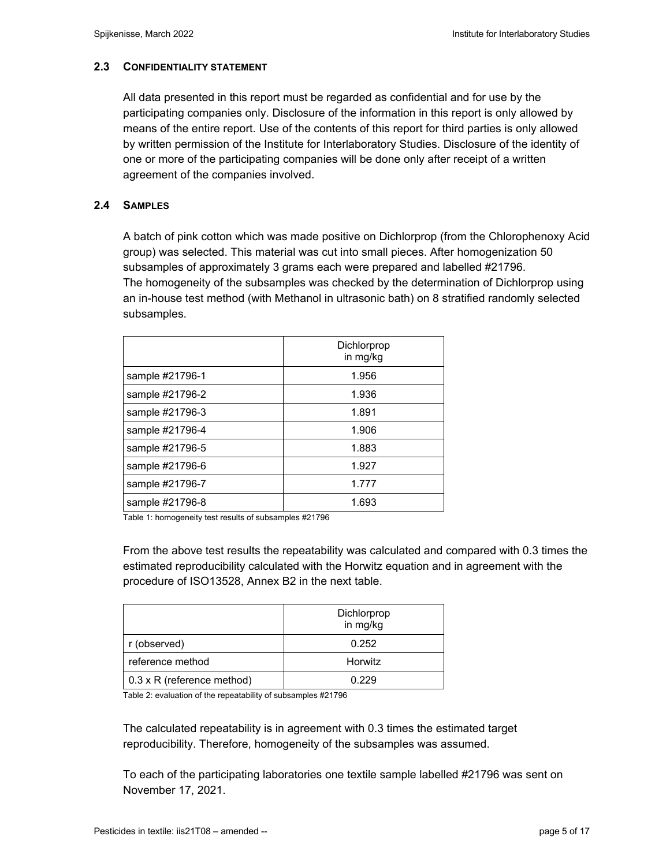# **2.3 CONFIDENTIALITY STATEMENT**

All data presented in this report must be regarded as confidential and for use by the participating companies only. Disclosure of the information in this report is only allowed by means of the entire report. Use of the contents of this report for third parties is only allowed by written permission of the Institute for Interlaboratory Studies. Disclosure of the identity of one or more of the participating companies will be done only after receipt of a written agreement of the companies involved.

# **2.4 SAMPLES**

A batch of pink cotton which was made positive on Dichlorprop (from the Chlorophenoxy Acid group) was selected. This material was cut into small pieces. After homogenization 50 subsamples of approximately 3 grams each were prepared and labelled #21796. The homogeneity of the subsamples was checked by the determination of Dichlorprop using an in-house test method (with Methanol in ultrasonic bath) on 8 stratified randomly selected subsamples.

|                 | Dichlorprop<br>in mg/kg |
|-----------------|-------------------------|
| sample #21796-1 | 1.956                   |
| sample #21796-2 | 1.936                   |
| sample #21796-3 | 1.891                   |
| sample #21796-4 | 1.906                   |
| sample #21796-5 | 1.883                   |
| sample #21796-6 | 1.927                   |
| sample #21796-7 | 1.777                   |
| sample #21796-8 | 1.693                   |

Table 1: homogeneity test results of subsamples #21796

From the above test results the repeatability was calculated and compared with 0.3 times the estimated reproducibility calculated with the Horwitz equation and in agreement with the procedure of ISO13528, Annex B2 in the next table.

|                                   | Dichlorprop<br>in mg/kg |
|-----------------------------------|-------------------------|
| r (observed)                      | 0.252                   |
| reference method                  | Horwitz                 |
| $0.3 \times R$ (reference method) | 0.229                   |

Table 2: evaluation of the repeatability of subsamples #21796

The calculated repeatability is in agreement with 0.3 times the estimated target reproducibility. Therefore, homogeneity of the subsamples was assumed.

To each of the participating laboratories one textile sample labelled #21796 was sent on November 17, 2021.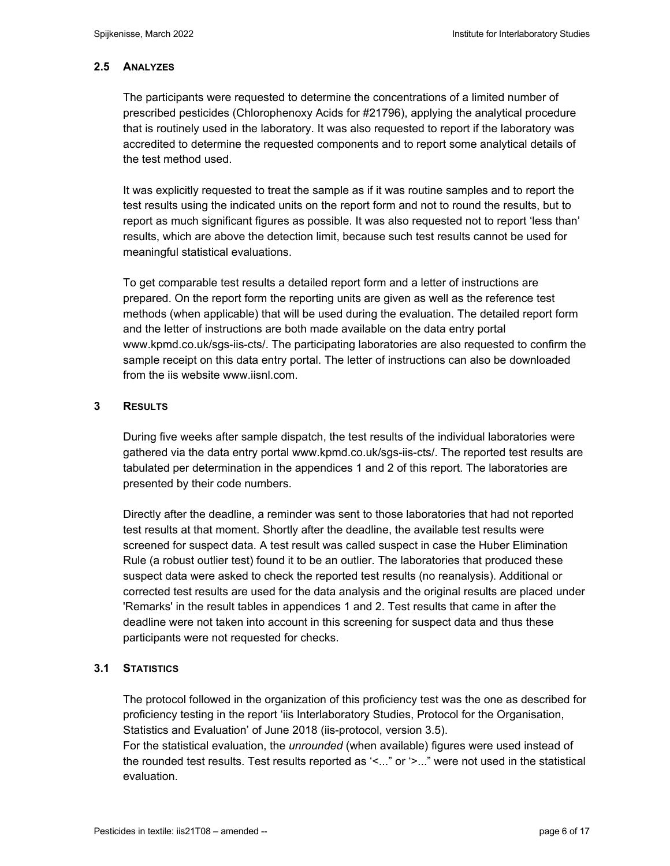# **2.5 ANALYZES**

The participants were requested to determine the concentrations of a limited number of prescribed pesticides (Chlorophenoxy Acids for #21796), applying the analytical procedure that is routinely used in the laboratory. It was also requested to report if the laboratory was accredited to determine the requested components and to report some analytical details of the test method used.

It was explicitly requested to treat the sample as if it was routine samples and to report the test results using the indicated units on the report form and not to round the results, but to report as much significant figures as possible. It was also requested not to report 'less than' results, which are above the detection limit, because such test results cannot be used for meaningful statistical evaluations.

To get comparable test results a detailed report form and a letter of instructions are prepared. On the report form the reporting units are given as well as the reference test methods (when applicable) that will be used during the evaluation. The detailed report form and the letter of instructions are both made available on the data entry portal www.kpmd.co.uk/sgs-iis-cts/. The participating laboratories are also requested to confirm the sample receipt on this data entry portal. The letter of instructions can also be downloaded from the iis website www.iisnl.com.

# **3 RESULTS**

During five weeks after sample dispatch, the test results of the individual laboratories were gathered via the data entry portal www.kpmd.co.uk/sgs-iis-cts/. The reported test results are tabulated per determination in the appendices 1 and 2 of this report. The laboratories are presented by their code numbers.

Directly after the deadline, a reminder was sent to those laboratories that had not reported test results at that moment. Shortly after the deadline, the available test results were screened for suspect data. A test result was called suspect in case the Huber Elimination Rule (a robust outlier test) found it to be an outlier. The laboratories that produced these suspect data were asked to check the reported test results (no reanalysis). Additional or corrected test results are used for the data analysis and the original results are placed under 'Remarks' in the result tables in appendices 1 and 2. Test results that came in after the deadline were not taken into account in this screening for suspect data and thus these participants were not requested for checks.

# **3.1 STATISTICS**

The protocol followed in the organization of this proficiency test was the one as described for proficiency testing in the report 'iis Interlaboratory Studies, Protocol for the Organisation, Statistics and Evaluation' of June 2018 (iis-protocol, version 3.5).

For the statistical evaluation, the *unrounded* (when available) figures were used instead of the rounded test results. Test results reported as '<..." or '>..." were not used in the statistical evaluation.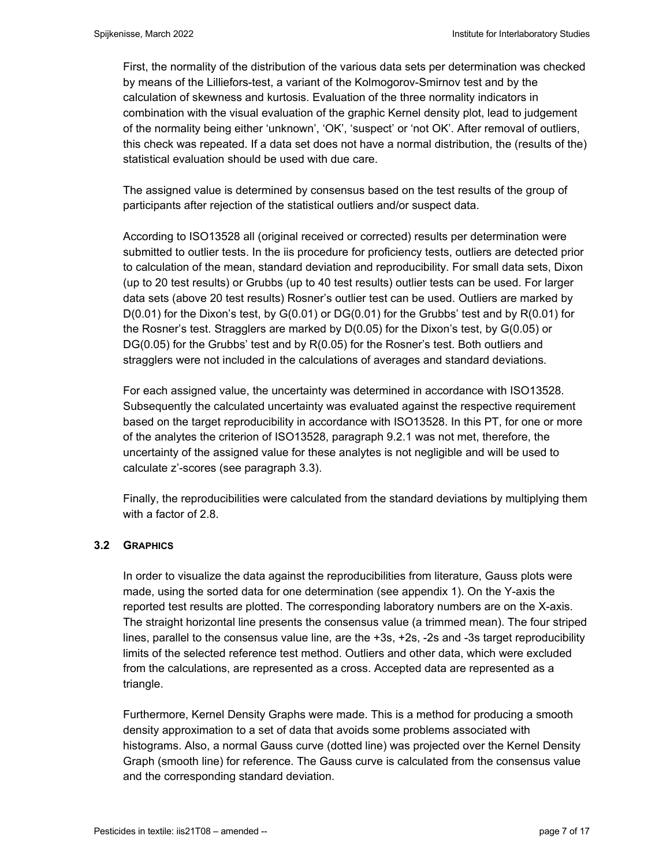First, the normality of the distribution of the various data sets per determination was checked by means of the Lilliefors-test, a variant of the Kolmogorov-Smirnov test and by the calculation of skewness and kurtosis. Evaluation of the three normality indicators in combination with the visual evaluation of the graphic Kernel density plot, lead to judgement of the normality being either 'unknown', 'OK', 'suspect' or 'not OK'. After removal of outliers, this check was repeated. If a data set does not have a normal distribution, the (results of the) statistical evaluation should be used with due care.

The assigned value is determined by consensus based on the test results of the group of participants after rejection of the statistical outliers and/or suspect data.

According to ISO13528 all (original received or corrected) results per determination were submitted to outlier tests. In the iis procedure for proficiency tests, outliers are detected prior to calculation of the mean, standard deviation and reproducibility. For small data sets, Dixon (up to 20 test results) or Grubbs (up to 40 test results) outlier tests can be used. For larger data sets (above 20 test results) Rosner's outlier test can be used. Outliers are marked by  $D(0.01)$  for the Dixon's test, by  $G(0.01)$  or  $DG(0.01)$  for the Grubbs' test and by  $R(0.01)$  for the Rosner's test. Stragglers are marked by D(0.05) for the Dixon's test, by G(0.05) or DG(0.05) for the Grubbs' test and by R(0.05) for the Rosner's test. Both outliers and stragglers were not included in the calculations of averages and standard deviations.

For each assigned value, the uncertainty was determined in accordance with ISO13528. Subsequently the calculated uncertainty was evaluated against the respective requirement based on the target reproducibility in accordance with ISO13528. In this PT, for one or more of the analytes the criterion of ISO13528, paragraph 9.2.1 was not met, therefore, the uncertainty of the assigned value for these analytes is not negligible and will be used to calculate z'-scores (see paragraph 3.3).

Finally, the reproducibilities were calculated from the standard deviations by multiplying them with a factor of 2.8.

# **3.2 GRAPHICS**

In order to visualize the data against the reproducibilities from literature, Gauss plots were made, using the sorted data for one determination (see appendix 1). On the Y-axis the reported test results are plotted. The corresponding laboratory numbers are on the X-axis. The straight horizontal line presents the consensus value (a trimmed mean). The four striped lines, parallel to the consensus value line, are the +3s, +2s, -2s and -3s target reproducibility limits of the selected reference test method. Outliers and other data, which were excluded from the calculations, are represented as a cross. Accepted data are represented as a triangle.

Furthermore, Kernel Density Graphs were made. This is a method for producing a smooth density approximation to a set of data that avoids some problems associated with histograms. Also, a normal Gauss curve (dotted line) was projected over the Kernel Density Graph (smooth line) for reference. The Gauss curve is calculated from the consensus value and the corresponding standard deviation.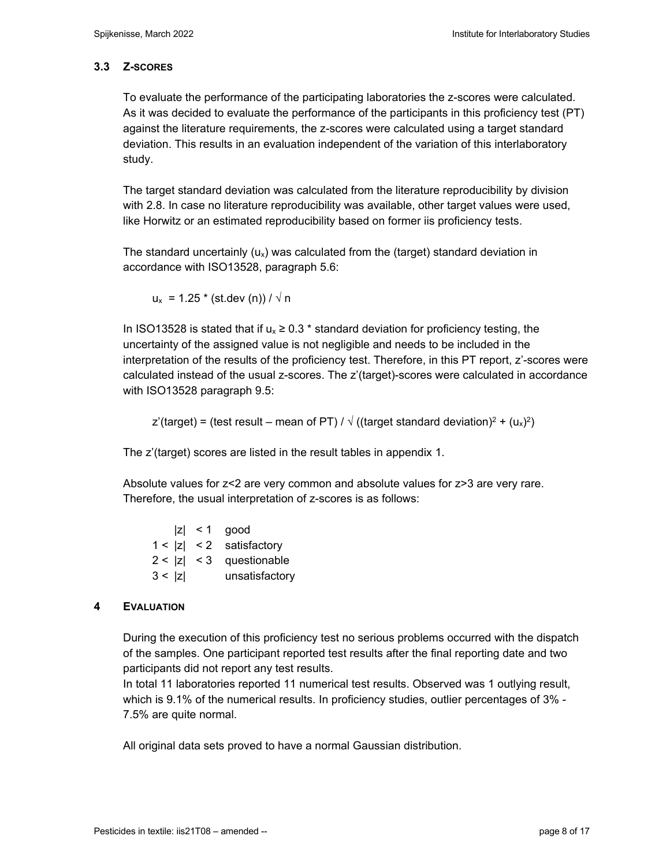# **3.3 Z-SCORES**

To evaluate the performance of the participating laboratories the z-scores were calculated. As it was decided to evaluate the performance of the participants in this proficiency test (PT) against the literature requirements, the z-scores were calculated using a target standard deviation. This results in an evaluation independent of the variation of this interlaboratory study.

The target standard deviation was calculated from the literature reproducibility by division with 2.8. In case no literature reproducibility was available, other target values were used, like Horwitz or an estimated reproducibility based on former iis proficiency tests.

The standard uncertainly  $(u_x)$  was calculated from the (target) standard deviation in accordance with ISO13528, paragraph 5.6:

 $u_x = 1.25 * (st. dev (n)) / \sqrt{n}$ 

In ISO13528 is stated that if  $u_x \ge 0.3$  \* standard deviation for proficiency testing, the uncertainty of the assigned value is not negligible and needs to be included in the interpretation of the results of the proficiency test. Therefore, in this PT report, z'-scores were calculated instead of the usual z-scores. The z'(target)-scores were calculated in accordance with ISO13528 paragraph 9.5:

z'(target) = (test result – mean of PT) /  $\sqrt{(}$ (target standard deviation)<sup>2</sup> + ( $u_x$ )<sup>2</sup>)

The z'(target) scores are listed in the result tables in appendix 1.

Absolute values for z<2 are very common and absolute values for z>3 are very rare. Therefore, the usual interpretation of z-scores is as follows:

|        | $ z  < 1$ good             |
|--------|----------------------------|
|        | $1 <  z  < 2$ satisfactory |
|        | $2 <  z  < 3$ questionable |
| 3 <  z | unsatisfactory             |

# **4 EVALUATION**

During the execution of this proficiency test no serious problems occurred with the dispatch of the samples. One participant reported test results after the final reporting date and two participants did not report any test results.

In total 11 laboratories reported 11 numerical test results. Observed was 1 outlying result, which is 9.1% of the numerical results. In proficiency studies, outlier percentages of 3% - 7.5% are quite normal.

All original data sets proved to have a normal Gaussian distribution.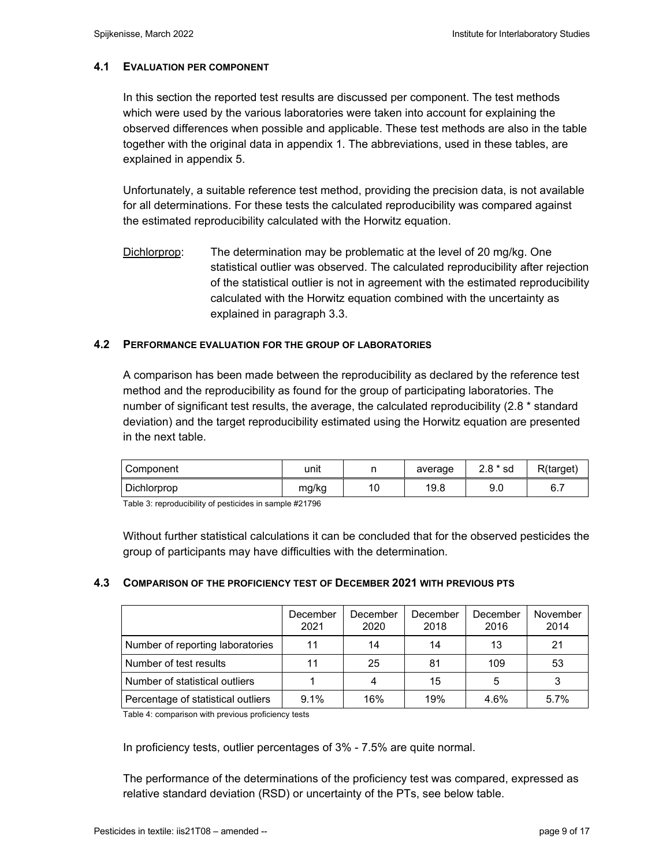# **4.1 EVALUATION PER COMPONENT**

In this section the reported test results are discussed per component. The test methods which were used by the various laboratories were taken into account for explaining the observed differences when possible and applicable. These test methods are also in the table together with the original data in appendix 1. The abbreviations, used in these tables, are explained in appendix 5.

Unfortunately, a suitable reference test method, providing the precision data, is not available for all determinations. For these tests the calculated reproducibility was compared against the estimated reproducibility calculated with the Horwitz equation.

Dichlorprop: The determination may be problematic at the level of 20 mg/kg. One statistical outlier was observed. The calculated reproducibility after rejection of the statistical outlier is not in agreement with the estimated reproducibility calculated with the Horwitz equation combined with the uncertainty as explained in paragraph 3.3.

# **4.2 PERFORMANCE EVALUATION FOR THE GROUP OF LABORATORIES**

A comparison has been made between the reproducibility as declared by the reference test method and the reproducibility as found for the group of participating laboratories. The number of significant test results, the average, the calculated reproducibility (2.8 \* standard deviation) and the target reproducibility estimated using the Horwitz equation are presented in the next table.

| Component   | unit  | n<br>. .  | average | $2.8 * sd$ | R(target) |
|-------------|-------|-----------|---------|------------|-----------|
| Dichlorprop | mg/kg | AC<br>, v | 19.8    | a r<br>ວ.ບ | 6.7       |

Table 3: reproducibility of pesticides in sample #21796

Without further statistical calculations it can be concluded that for the observed pesticides the group of participants may have difficulties with the determination.

# **4.3 COMPARISON OF THE PROFICIENCY TEST OF DECEMBER 2021 WITH PREVIOUS PTS**

|                                    | December<br>2021 | December<br>2020 | December<br>2018 | December<br>2016 | November<br>2014 |
|------------------------------------|------------------|------------------|------------------|------------------|------------------|
| Number of reporting laboratories   | 11               | 14               | 14               | 13               | 21               |
| Number of test results             | 11               | 25               | 81               | 109              | 53               |
| Number of statistical outliers     |                  |                  | 15               | 5                |                  |
| Percentage of statistical outliers | 9.1%             | 16%              | 19%              | 4.6%             | 5.7%             |

Table 4: comparison with previous proficiency tests

In proficiency tests, outlier percentages of 3% - 7.5% are quite normal.

The performance of the determinations of the proficiency test was compared, expressed as relative standard deviation (RSD) or uncertainty of the PTs, see below table.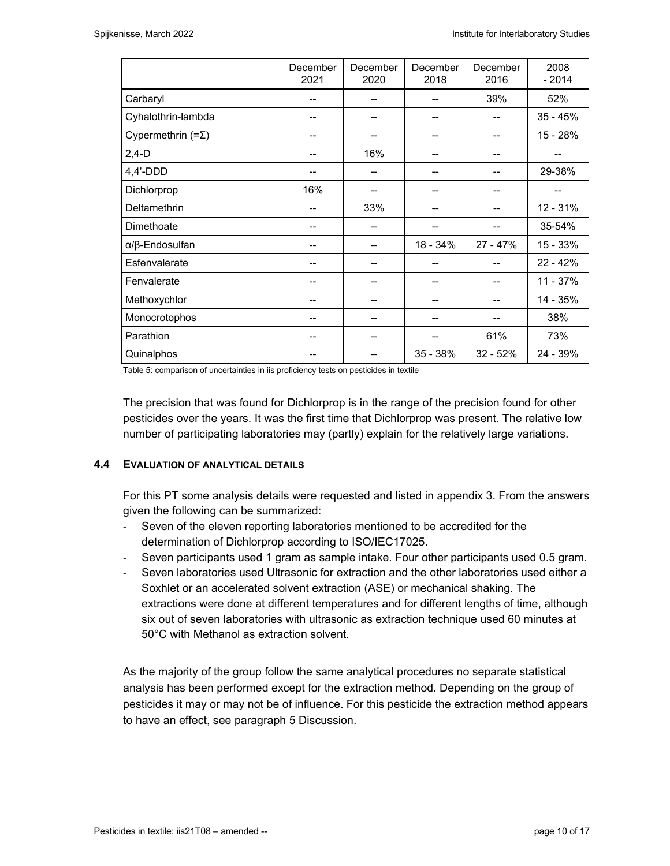|                                | December<br>2021 | December<br>2020 | December<br>2018 | December<br>2016 | 2008<br>$-2014$ |
|--------------------------------|------------------|------------------|------------------|------------------|-----------------|
| Carbaryl                       | --               | --               |                  | 39%              | 52%             |
| Cyhalothrin-lambda             |                  |                  |                  |                  | $35 - 45%$      |
| Cypermethrin $(=\Sigma)$       | --               | --               |                  |                  | 15 - 28%        |
| $2,4-D$                        | --               | 16%              | --               |                  |                 |
| $4,4'$ -DDD                    | --               | --               | --               |                  | 29-38%          |
| Dichlorprop                    | 16%              | --               |                  |                  |                 |
| <b>Deltamethrin</b>            | --               | 33%              |                  |                  | 12 - 31%        |
| Dimethoate                     | --               | --               |                  |                  | 35-54%          |
| $\alpha$ / $\beta$ -Endosulfan | --               | --               | 18 - 34%         | $27 - 47%$       | 15 - 33%        |
| Esfenvalerate                  | --               | --               |                  |                  | $22 - 42%$      |
| Fenvalerate                    | --               | --               |                  |                  | 11 - 37%        |
| Methoxychlor                   | --               | --               | --               |                  | 14 - 35%        |
| Monocrotophos                  | --               | --               |                  |                  | 38%             |
| Parathion                      | --               | --               | --               | 61%              | 73%             |
| Quinalphos                     |                  | --               | 35 - 38%         | $32 - 52%$       | 24 - 39%        |

Table 5: comparison of uncertainties in iis proficiency tests on pesticides in textile

The precision that was found for Dichlorprop is in the range of the precision found for other pesticides over the years. It was the first time that Dichlorprop was present. The relative low number of participating laboratories may (partly) explain for the relatively large variations.

# **4.4 EVALUATION OF ANALYTICAL DETAILS**

For this PT some analysis details were requested and listed in appendix 3. From the answers given the following can be summarized:

- Seven of the eleven reporting laboratories mentioned to be accredited for the determination of Dichlorprop according to ISO/IEC17025.
- Seven participants used 1 gram as sample intake. Four other participants used 0.5 gram.
- Seven laboratories used Ultrasonic for extraction and the other laboratories used either a Soxhlet or an accelerated solvent extraction (ASE) or mechanical shaking. The extractions were done at different temperatures and for different lengths of time, although six out of seven laboratories with ultrasonic as extraction technique used 60 minutes at 50°C with Methanol as extraction solvent.

As the majority of the group follow the same analytical procedures no separate statistical analysis has been performed except for the extraction method. Depending on the group of pesticides it may or may not be of influence. For this pesticide the extraction method appears to have an effect, see paragraph 5 Discussion.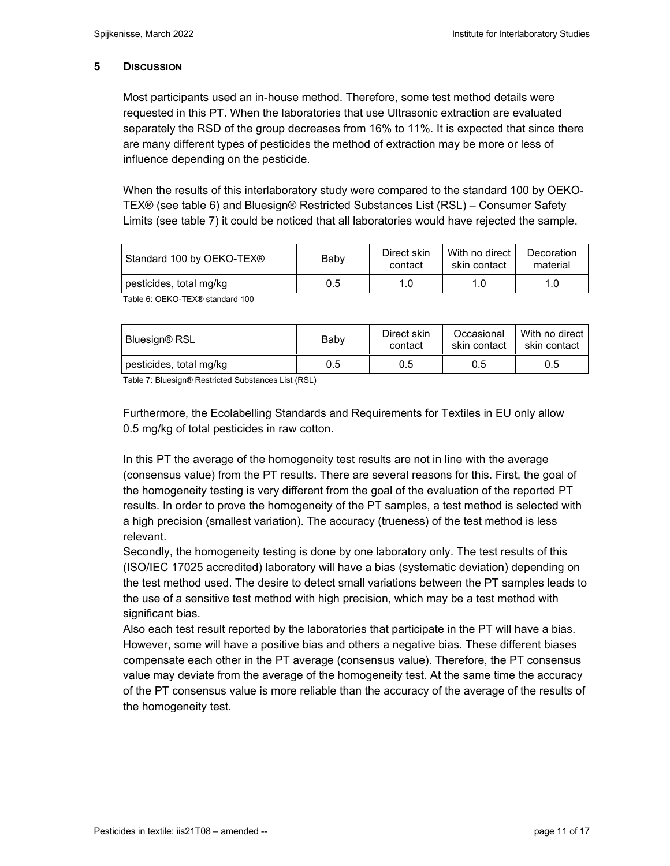#### **5 DISCUSSION**

Most participants used an in-house method. Therefore, some test method details were requested in this PT. When the laboratories that use Ultrasonic extraction are evaluated separately the RSD of the group decreases from 16% to 11%. It is expected that since there are many different types of pesticides the method of extraction may be more or less of influence depending on the pesticide.

When the results of this interlaboratory study were compared to the standard 100 by OEKO-TEX® (see table 6) and Bluesign® Restricted Substances List (RSL) – Consumer Safety Limits (see table 7) it could be noticed that all laboratories would have rejected the sample.

| Standard 100 by OEKO-TEX®                                        | Baby | Direct skin<br>contact | With no direct<br>skin contact | Decoration<br>material |
|------------------------------------------------------------------|------|------------------------|--------------------------------|------------------------|
| pesticides, total mg/kg                                          | 0.5  | 1.0                    | 1.0                            |                        |
| $T \cup \land \land T \cup \land T \cap \lor \land \quad \vdots$ |      |                        |                                |                        |

Table 6: OEKO-TEX® standard 100

| Bluesign® RSL           | Baby | Direct skin<br>contact | Occasional<br>skin contact | With no direct<br>skin contact |
|-------------------------|------|------------------------|----------------------------|--------------------------------|
| pesticides, total mg/kg | 0.5  | 0.5                    | 0.5                        | 0.5                            |

Table 7: Bluesign® Restricted Substances List (RSL)

Furthermore, the Ecolabelling Standards and Requirements for Textiles in EU only allow 0.5 mg/kg of total pesticides in raw cotton.

In this PT the average of the homogeneity test results are not in line with the average (consensus value) from the PT results. There are several reasons for this. First, the goal of the homogeneity testing is very different from the goal of the evaluation of the reported PT results. In order to prove the homogeneity of the PT samples, a test method is selected with a high precision (smallest variation). The accuracy (trueness) of the test method is less relevant.

Secondly, the homogeneity testing is done by one laboratory only. The test results of this (ISO/IEC 17025 accredited) laboratory will have a bias (systematic deviation) depending on the test method used. The desire to detect small variations between the PT samples leads to the use of a sensitive test method with high precision, which may be a test method with significant bias.

Also each test result reported by the laboratories that participate in the PT will have a bias. However, some will have a positive bias and others a negative bias. These different biases compensate each other in the PT average (consensus value). Therefore, the PT consensus value may deviate from the average of the homogeneity test. At the same time the accuracy of the PT consensus value is more reliable than the accuracy of the average of the results of the homogeneity test.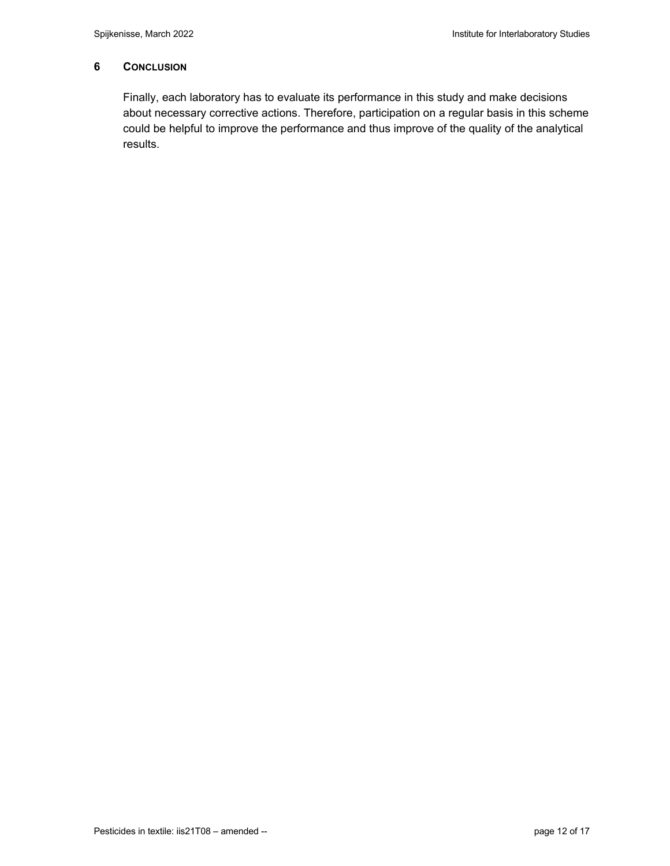# **6 CONCLUSION**

Finally, each laboratory has to evaluate its performance in this study and make decisions about necessary corrective actions. Therefore, participation on a regular basis in this scheme could be helpful to improve the performance and thus improve of the quality of the analytical results.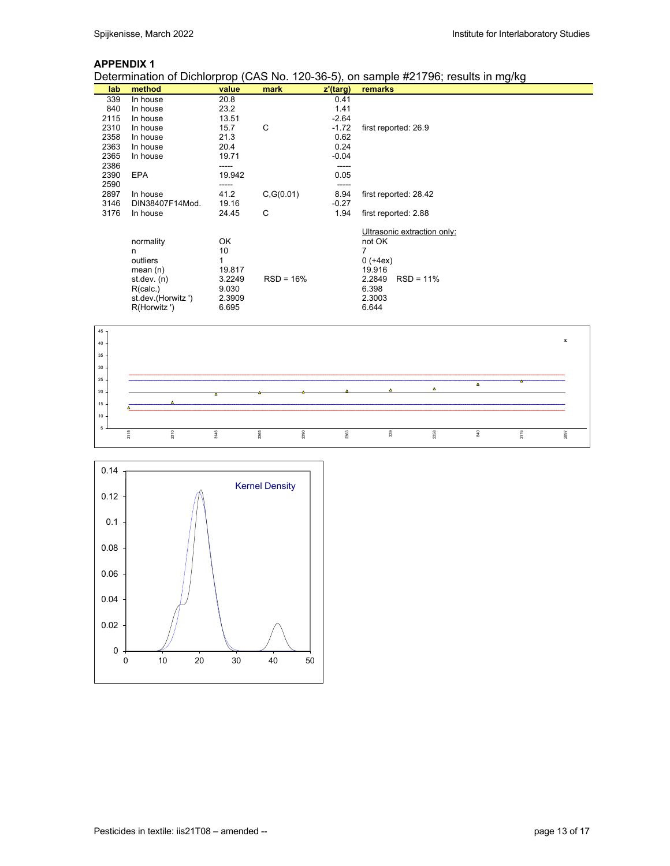Determination of Dichlorprop (CAS No. 120-36-5), on sample #21796; results in mg/kg

| lab  | method             | value  | mark        | z'(targ) | remarks                     |
|------|--------------------|--------|-------------|----------|-----------------------------|
| 339  | In house           | 20.8   |             | 0.41     |                             |
| 840  | In house           | 23.2   |             | 1.41     |                             |
| 2115 | In house           | 13.51  |             | $-2.64$  |                             |
| 2310 | In house           | 15.7   | C           | $-1.72$  | first reported: 26.9        |
| 2358 | In house           | 21.3   |             | 0.62     |                             |
| 2363 | In house           | 20.4   |             | 0.24     |                             |
| 2365 | In house           | 19.71  |             | $-0.04$  |                             |
| 2386 |                    |        |             |          |                             |
| 2390 | <b>EPA</b>         | 19.942 |             | 0.05     |                             |
| 2590 |                    |        |             |          |                             |
| 2897 | In house           | 41.2   | C, G(0.01)  | 8.94     | first reported: 28.42       |
| 3146 | DIN38407F14Mod.    | 19.16  |             | $-0.27$  |                             |
| 3176 | In house           | 24.45  | C           | 1.94     | first reported: 2.88        |
|      |                    |        |             |          |                             |
|      |                    |        |             |          | Ultrasonic extraction only: |
|      | normality          | OK     |             |          | not OK                      |
|      | n                  | 10     |             |          |                             |
|      | outliers           |        |             |          | $0 (+4ex)$                  |
|      | mean $(n)$         | 19.817 |             |          | 19.916                      |
|      | st. dev. (n)       | 3.2249 | $RSD = 16%$ |          | 2.2849<br>$RSD = 11%$       |
|      | R(calc.)           | 9.030  |             |          | 6.398                       |
|      | st.dev.(Horwitz ') | 2.3909 |             |          | 2.3003                      |
|      | R(Horwitz ')       | 6.695  |             |          | 6.644                       |



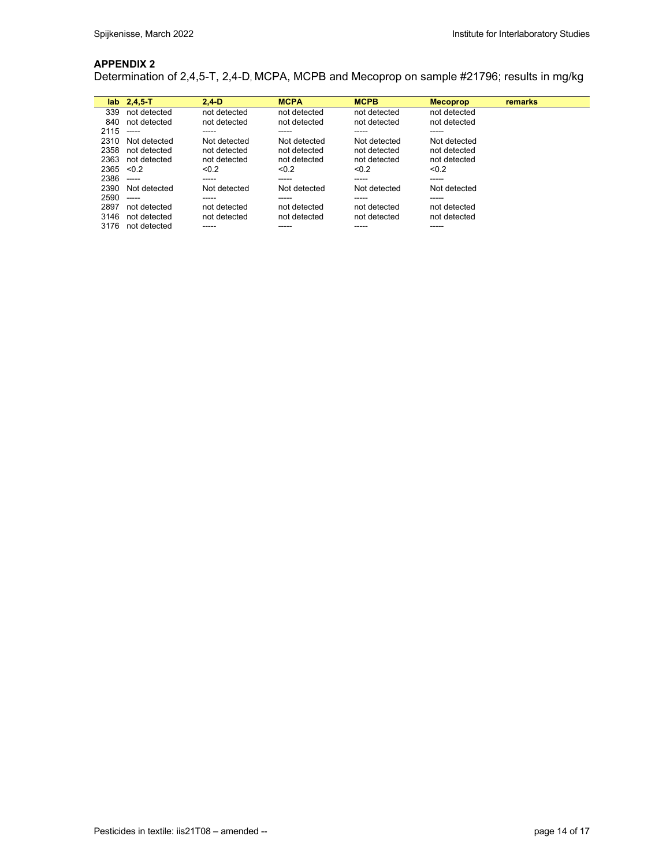Determination of 2,4,5-T, 2,4-D, MCPA, MCPB and Mecoprop on sample #21796; results in mg/kg

| lab  | $2,4,5-T$     | $2.4-D$      | <b>MCPA</b>  | <b>MCPB</b>  | <b>Mecoprop</b> | remarks |
|------|---------------|--------------|--------------|--------------|-----------------|---------|
| 339  | not detected  | not detected | not detected | not detected | not detected    |         |
| 840  | not detected  | not detected | not detected | not detected | not detected    |         |
| 2115 | -----         | -----        | -----        | -----        | -----           |         |
| 2310 | Not detected  | Not detected | Not detected | Not detected | Not detected    |         |
| 2358 | not detected  | not detected | not detected | not detected | not detected    |         |
| 2363 | not detected  | not detected | not detected | not detected | not detected    |         |
| 2365 | < 0.2         | < 0.2        | < 0.2        | < 0.2        | < 0.2           |         |
| 2386 | $\frac{1}{2}$ | -----        | -----        | -----        | -----           |         |
| 2390 | Not detected  | Not detected | Not detected | Not detected | Not detected    |         |
| 2590 | -----         | -----        | -----        | -----        | -----           |         |
| 2897 | not detected  | not detected | not detected | not detected | not detected    |         |
| 3146 | not detected  | not detected | not detected | not detected | not detected    |         |
| 3176 | not detected  |              | -----        | -----        | -----           |         |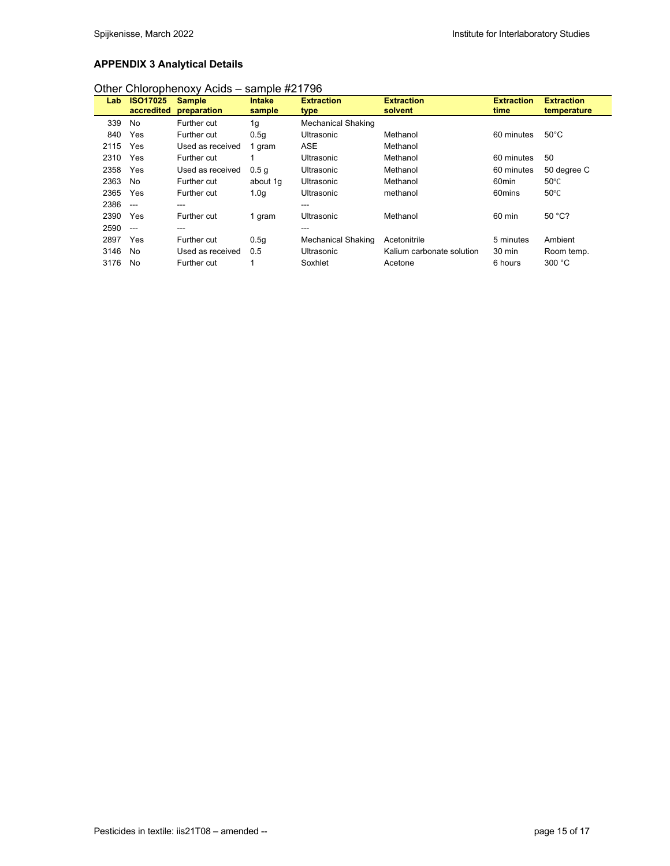# **APPENDIX 3 Analytical Details**

| Lab  | <b>ISO17025</b><br>accredited | <b>Sample</b><br>preparation | <b>Intake</b><br>sample | <b>Extraction</b><br>type | <b>Extraction</b><br>solvent | <b>Extraction</b><br>time | <b>Extraction</b><br>temperature |
|------|-------------------------------|------------------------------|-------------------------|---------------------------|------------------------------|---------------------------|----------------------------------|
| 339  | No                            | Further cut                  | 1g                      | <b>Mechanical Shaking</b> |                              |                           |                                  |
| 840  | Yes                           | Further cut                  | 0.5q                    | Ultrasonic                | Methanol                     | 60 minutes                | $50^{\circ}$ C                   |
| 2115 | Yes                           | Used as received             | 1 gram                  | <b>ASE</b>                | Methanol                     |                           |                                  |
| 2310 | Yes                           | Further cut                  |                         | Ultrasonic                | Methanol                     | 60 minutes                | 50                               |
| 2358 | Yes                           | Used as received             | 0.5 <sub>q</sub>        | <b>Ultrasonic</b>         | Methanol                     | 60 minutes                | 50 degree C                      |
| 2363 | No                            | Further cut                  | about 1q                | <b>Ultrasonic</b>         | Methanol                     | 60 <sub>min</sub>         | $50^{\circ}$ C                   |
| 2365 | Yes                           | <b>Further cut</b>           | 1.0 <sub>q</sub>        | <b>Ultrasonic</b>         | methanol                     | 60mins                    | $50^{\circ}$ C                   |
| 2386 | $\sim$                        | ---                          |                         | ---                       |                              |                           |                                  |
| 2390 | Yes                           | <b>Further cut</b>           | 1 gram                  | Ultrasonic                | Methanol                     | 60 min                    | 50 °C?                           |
| 2590 | $\sim$                        | ---                          |                         | ---                       |                              |                           |                                  |
| 2897 | Yes                           | <b>Further cut</b>           | 0.5q                    | <b>Mechanical Shaking</b> | Acetonitrile                 | 5 minutes                 | Ambient                          |
| 3146 | No                            | Used as received             | 0.5                     | Ultrasonic                | Kalium carbonate solution    | 30 min                    | Room temp.                       |
| 3176 | No                            | <b>Further cut</b>           |                         | Soxhlet                   | Acetone                      | 6 hours                   | 300 °C                           |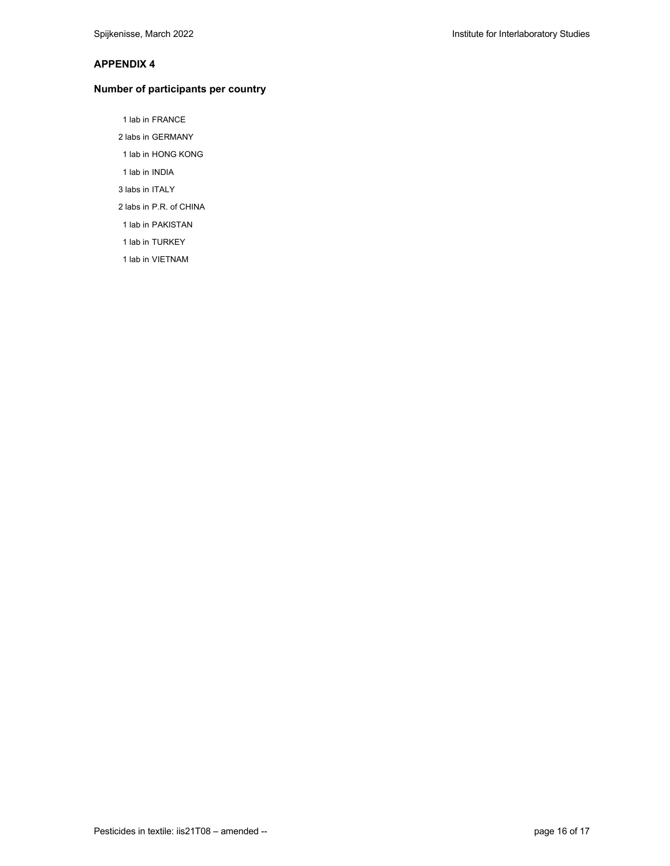#### **Number of participants per country**

- 1 lab in FRANCE
- 2 labs in GERMANY
- 1 lab in HONG KONG
- 1 lab in INDIA
- 3 labs in ITALY
- 2 labs in P.R. of CHINA
- 1 lab in PAKISTAN
- 1 lab in TURKEY
- 1 lab in VIETNAM